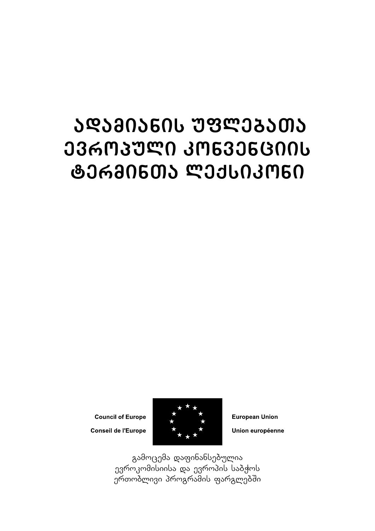## ᲐᲓᲐᲛᲘᲐᲜᲘᲡ **ᲣᲤᲚᲔᲑᲐ**ᲗᲐ ᲔᲕᲠᲝᲞᲣᲚᲘ ᲙᲝᲜᲕᲔᲜᲪᲘᲘᲡ **ᲢᲔᲠᲛᲘᲜᲗᲐ ᲚᲔᲥᲡᲘᲙᲝᲜᲘ**

**Council of Europe** 

Conseil de l'Europe



**European Union** Union européenne

გამოცემა დაფინანსებულია ევროკომისიისა და ევროპის საბჭოს gromomom amangramis mangman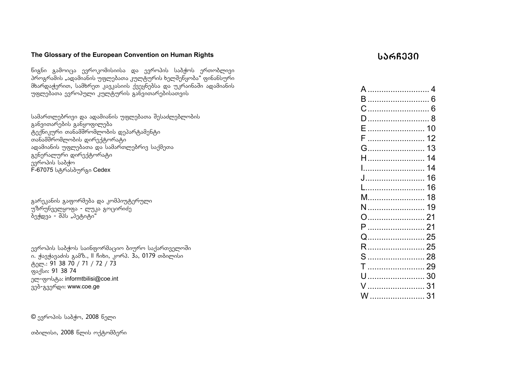#### **The Glossary of the European Convention on Human Rights**

წიგნი გამოიცა ევროკომისიისა და ევროპის საპჭოს ერთობლივი amanis adamic wadamianis and the program and the self was defined to analyze the self was above the self was d  $\delta$ bsmosgnmon, bsdbmnon, sambolo danyanasiya osemanasina adashab უფლებათა ევროპული კულტურის განვითარებისათვის

სამართლებრივი და ადამიანის უფლებათა შესაძლებლობის  $a$ განვითარების განყოფილება  $\alpha$ გექნიკური თანამშრომლობის დეპარტამენტი TanamSromlobis direqtorati ადამიანის უფლებათა და სამართლებრივ საქმეთა  $g_0$ ნერალური დირექტორატი gammanu usadm F-67075 ს<sub>เ</sub>หิคง<sup>ไ</sup>งได้ๆคี<sub>80</sub> Cedex

გარეკანის გაფორმება და კომპიუტერული უზრუნველყოფა - ლუკა გოცირიძე  $\delta$ ეჭდვა - შპს "პეტიტი"

ევროპის საბჭოს საინფორმაციო ბიურო საქართველოში n. gazgazdo zadb., Il Bobo, zmm3. 3a, 0179 monumbo <sub>ტელ.</sub>: 91 38 70 / 71 / 72 / 73 gas/lun: 91 38 74 ელ-ფოსტა: informtbilisi@coe.int 300-830 mgo: www.coe.ge

 $\circ$  gammaob bookm, 2008 bammo

თბილისი, 2008 წლის ოქტომბერი

#### **sarCevi**

| A ……………………… 4  |    |
|----------------|----|
| B  6           |    |
| C              |    |
| D  8           |    |
| F              |    |
| F              | 12 |
| G……………………… 13  |    |
|                | 14 |
| I………………………… 14 |    |
| J              | 16 |
| L……………………… 16  |    |
|                | 18 |
| N  19          |    |
|                |    |
| P  21          |    |
| Q…………………… 25   |    |
| R  25          |    |
| S  28          |    |
| $T$            | 29 |
|                | 30 |
| V  31          |    |
| W              | 31 |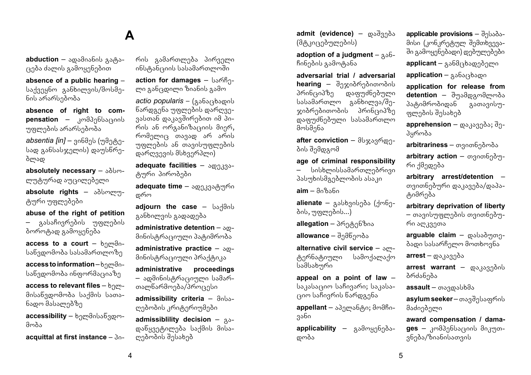#### **A**

abduction – spodnobnb gorgo- $(320d)$ ა ძალის გამოყენებით

**absence of a public hearing** –  $b$ აქვეყნო განხილვის/მოსმენის არარსებობა

**absence of right to com**pensation – **kompensation** – **kompensation** უფლების არარსებობა

*absentia [in] –* **ვინმეს (უმეტე**სად განსასჯელის) დაუსწრებლად

absolutely necessary - sobmლუტურად აუცილებელი

absolute rights - sobmmmცური უფლებები

**abuse of the right of petition**  გასაჩივრების უფლების ბოროტად გამოყენება

**access to a court**  $\frac{b}{10000}$ საწვდომობა სასამართლოზე

**access to information** - borgoსაწვდომობა ინფორმაციაზე

**access to relevant files - bnm**მისაწვდომობა საქმის სათანადო მასალებზე

**accessibility** – ხელმისაწვდომობა

**acquittal at first instance - 30-**

რის გამართლება პირველი  $\overline{\text{15}}$ ინსტანციის სასამართლოში

action for damages - bsmhgლი განცდილი ზიანის გამო

*actio popularis* – (*Aδδειλδοφού* წარდგენა უფლების დარღვე- $3$ ასთან დაკავშირებით იმ პი- $\overline{r}$  $m$ <sup>o</sup>mel<sub>1</sub> marzo ar aristo უფლების ან თავისუფლების დარღვევის მსხვერპლი)

**adequate facilities** –  $\text{log}_{0.333}$ -<sub>ტ</sub>ური პირობები

**adequate time** – ადეკვატური დრო

adiourn the case - bs-dab განხილვის გადადება

**administrative detention -**  $\delta$ **<sup>0</sup>**მინისტრაციული პატიმრობა

**administrative practice –**  $\delta$ **co**მინისტრაციული პრაქტიკა

**administrative proceedings**  – ადმინისტრაციული სამართალწარმოება/პროცესი

admissibility criteria - dobsღებობის კრიტერიუმები

**admissiblility decision** – gaდანყვეტილება საქმის მისალებობის შესახებ

admit (evidence) – **@**აშვება (მტკიცებულების)

**adoption of a judgment**  $25$ ჩინების გამოტანა

**adversarial trial / adversarial hearing –** შეჯიბრებითობის<br>პრინციპზე დაფუძნებული დაფუძნებული  $b$ ასამართლო განხილვა/შე $x$ იბრებითობის პრინციპზე დაფუძნებული სასამართლო მოსმენა

after conviction –  $\partial \log_{3} \log_{1}$ ბის შემდგომ

#### **age of criminal responsibility**

სისხლისსამართლებრივი პასუხისმგებლობის ასაკი

 $\mathsf{aim} - \partial \alpha \partial \beta \partial \alpha$ 

alienate – asbb30bgos (dm6gბის, უფლების...)

**allegation** – პრეტენზია

**allowance** – შემწეობა

**alternative civil service –** ალ-<br>"გერნატიული — სამოქალაქო ცერნაციული  $b$ ამსახური

**appeal on a point of law** – საკასაციო საჩივარი; საკასაციო საჩივრის წარდგენა

**appellant** – აპელანტი; მომჩივანი

applicability – გამოყენებადობა

applicable provisions - dobadsმისი (კონკრეტულ შემთხვევაში გამოყენებადი) დებულებები **applicant** – განმცხადებელი

application – 3363/363000

**application for release from detention** – შუამდგომლობა პატიმრობიდან გათავისუთლების შესახებ

apprehension – **@8383383;** dgპყრობა

arbitrariness – თვითნებობა

arbitrary action – თვითნებური ქმედება

**arbitrary arrest/detention** – თვითნებური დაკავება/დაპაციმრება

**arbitrary deprivation of liberty**   $-$  თავისუფლების თვითნებუ-

რი აღკვეთა

arguable claim – poboomp- $\delta$ ადი სასარჩელო მოთხოვნა

 $\arrest - \cos \theta$ 

arrest warrant – **composition** პრძანება

assault – magmabbas

**asylum seeker –** ตอรูสึกูโงอุดุที่ครับ მაძიებელი

**award compensation / damages –** კომპენსაციის მიკუთვნება/ზიანისათვის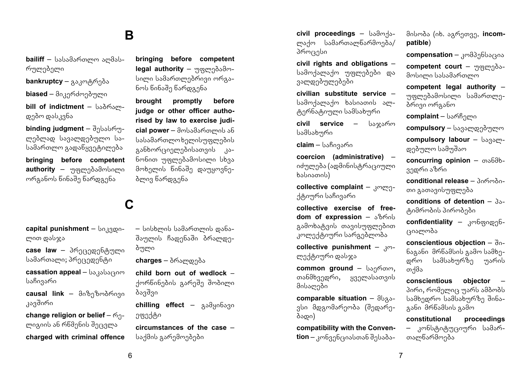#### **B**

bailiff – სასამართლო აომასრულებელი

**bankruptcy** – გაკოტრება

**biased** – მიკერძოებული

bill of indictment - bsdmsmდებო დასკვნა

**binding judgment** – შესასრულებლად სავალდებულო სასამართლო გადაწყვეტილება

**bringing before competent**  authority – mogmadsdmbomo ორგანოს წინაშე წარდგენა

## **C**

capital punishment - bo.33000ლით დასჯა

case law – პრეცედენტული სამართალი; პრეცედენტი

cassation appeal - bagabaram საჩივარი

**causal link –** მიზეზობრივი კავშირი

**change religion or belief** –  $\epsilon_{0}$ ლიგიის ან რწმენის შეცვლა

**charged with criminal offence** 

**bringing before competent legal authority** – mormadodmსილი სამართლებრივი ორგანოს წინაშე წარდგენა

**brought promptly before judge or other officer authorised by law to exercise judicial power** – მოსამართლის ან სასამართლოხელისუფლების asbbmm/300000000 asნონით უფლებამოსილი სხვა მოხელის წინაშე დაუყოვნებლივ წარდგენა

 $-$  სისხლის სამართლის დანაშაულის ჩადენაში ბრალდეპული

**charges** – ბრალდება

**child born out of wedlock** – ქორწინების გარეშე შობილი ბავშვი

**chilling effect** – <sub>β</sub>δθμοδδει ეფექტი

**circumstances of the case** – საქმის გარემოებები

**civil proceedings - bsdmds**ლაქო სამართალწარმოება/ პროცესი

**civil rights and obligations** – სამოქალაქო უფლებები და ვალდებულებები

**civilian substitute service** – samdsmadn baboanob smტერნატიული სამსახური

**civil service –** საჯარო სამსახური

**claim –** საჩივარი

**coercion (administrative)** – იძულება (ადმინისტრაციული  $b<sub>ab</sub>$ 

**collective complaint** – komenქტიური საჩივარი

**collective exercise of freedom of expression – algorithm** გამოხატვის თავისუფლებით კოლექტიური სარგებლობა

**collective punishment –**  $x_0$ ლექტიური დასჯა

**common ground - bsgmom,** თანმხვედრი, ყველასათვის მისალები

**comparable situation** –  $\partial \theta$ ვსი მდგომარეობა (შედარებადი)

**compatibility with the Convention** – კონვენციასთან შესაბამისობა (იხ. აგრეთვე, **incompatible**)

compensation – 3mg316b31305

**competent court** – mormadoambomo სასამართლო

**competent legal authority** – უფლებამოსილი სამართლებრივი ორგანო

**complaint** – სარჩელი

**compulsory** – სავალდებულო

**compulsory labour** - bagamდებულო სამუშაო

**concurring opinion** –  $\omega_0$ 686ვედრი აზრი

conditional release - 306m30თი გათავისუფლება

 $conditions$  of detention  $-3s$ ტიმრობის პირობები

**confidentiality – καθαρισηδ**rsoალობა

**conscientious objection –**  $\partial \theta$ ნაგანი მრწამსის გამო სამხედრო სამსახურზე უარის თქმა

**conscientious objector** – პირი, რომელიც უარს ამბობს სამხედრო სამსახურზე შინაგანი მრწამსის გამო

**constitutional proceedings**  კონსტიტუციური სამართალწარმოება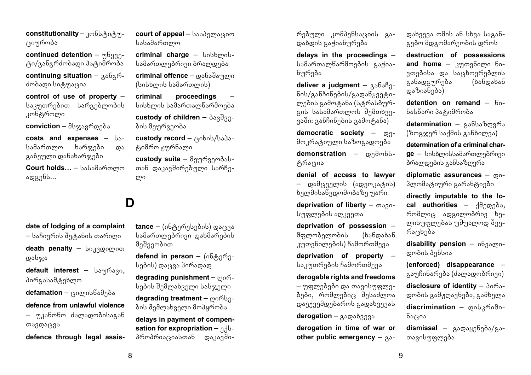constitutionality – კონსტიტუracmრობა

**continued detention** – mbggg- $\delta$ ი/განგრძობადი პატიმრობა

**continuing situation –** *g***<sub>δβ</sub>εσ**ძობადი სიტუაცია

**control of use of property** – საკუთრებით სარგებლობის კონტროლი

**conviction** – მსჯავრდება

**costs and expenses – ba**სამართლო ხარჯები და განეული დანახარჯები

**Court holds...** – სასამართლო  $\log_3 66...$ 

# **date of lodging of a complaint**   $-$  საჩივრის შეტანის თარიღი

**death penalty** – **bo**33000000 დასჯა

default interest - bsmms30, პირგასამტეხლო

**defamation** – ცილისწამება

**defence from unlawful violence**   $-$  უკანონო ძალადობისაგან თავდაცვა

**defence through legal assis-**

**court of appeal** – baadgmarsom  $b$ s $b$ sa $b$ smamar $f$ 

**criminal charge - bobbcoob**სამართლებრივი ბრალდება

**criminal offence** – დანაშაული (სისხლის სამართლის)

**criminal proceedings** – სისხლის სამართალწარმოება custody of children -  $\delta$ <sub>33</sub>33ბის მეურვეობა

custody record - cabob/bada-<sub>ძ</sub>გიმრო ჟურნალი

**custody suite** – მეურვეობასთან დაკავშირებული სარჩე- $\mu$ 

## **D**

**tance** – (ინტერესების) დაცვა სამართლებრივი დახმარების მეშვეობით

defend in person - (068gmსების) დაცვა პირადად

degrading punishment – momსების შემლახველი სასჯელი

**degrading treatment** - mombgბის შემლახველი მოპყრობა

**delays in payment of compensation for expropriation**  $-$  $n$ **-b**პროპრიაციასთან დაკავშირებული კომპენსაციის გადახდის გავიანურება

**delays in the proceedings** – სამართალწარმოების გაჭიანურება

deliver a judgment - gsbshg- $60/35660900/350059390$ ლების გამოტანა (სტრასბურanu babadammemb dadonbanვაში: განჩინების გამოტანა)

**democratic society –**  $Q_{1}$ მოკრატიული საზოგადოება

demonstration – condmbbცრაცია

**denial of access to lawyer** 

– დამცველის (ადვოკატის)  $b$ ელმისაწვდომობაზე უარი

**deprivation of liberty – magn**სუფლების აღკვეთა

**deprivation of possession** – მფლობელობის (ხანდახან კუთვნილების) ჩამორთმევა

**deprivation of property** – საკუთრების ჩამორთმევა

**derogable rights and freedoms** 

– უფლებები და თავისუფლებები, რომლებიც შესაძლოა  $\alpha$ esgdagadamabaran gadagaalaan

**derogation** – <sub>β</sub>*δ*ωδερη

**derogation in time of war or other public emergency –**  $a\delta$ **-** დახვევა ომის ან სხვა საგანგებო მდგომარეობის დროს

**destruction of possessions**  and home – kno360m0 60ვთებისა და საცხოვრებლის<br>განადგურება (ხანდახან განადგურება დაზიანება)

**detention on remand**  $-6$ **.** ნასწარი პატიმრობა

**determination** – განსაზღვრა (ზოგჯერ საქმის განხილვა)

**determination of a criminal char-**

**ge** – სისხლისსამართლებრივი ბრალდების განსაზღვრა

**diplomatic assurances –**  $\omega_0$ პლომაციური გარანტიები

**directly imputable to the local authorities –**  $\frac{1}{2}$ ασχρόδο,  $m$ მოი $m$ ადგილობრივ ხელისუფლებას უშუალოდ შეერაცხება

disability pension -  $o638$ moდობის პენსია

**(enforced) disappearance** – გაუჩინარება (ძალადობრივი) disclosure of identity - 3065დობის გამჟღავნება, გამხელა discrimination – pob3modoნაცია

**dismissal** – გადაყენება/გათავისუფლება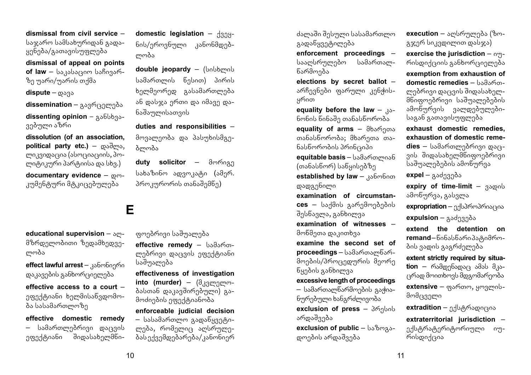**dismissal from civil service** –  $b$ აჯარო სამსახურიდან გადა $y_0$ ნება/გათავისუფლება

**dismissal of appeal on points**   $of$   $law - bs$   $isbs$ ( $so$   $bs$  $ho$  $s$  $o$ ზე უარი/უარის თქმა

**dispute** – mana

**dissemination** – გავრცელება

dissenting opinion - 336bb33ვებული აზრი

**dissolution (of an association,**  political party etc.) – **condens**, ლიკვიდაცია (ასოციაციის, პო- $\mu$ ma $\beta$ n arm $\sigma$ a da sam $\beta$ anaka da sama barang da sama da sama da sama da sama da sama da sama da sama da sama da sama da sama da sama da sama da sama da sama da sama da sama da sama da sama da sama da sama da sama d

**documentary evidence –**  $\omega$ **m**კუმენტური მტკიცებულება

**educational supervision –**  $\delta$ **P**მზრდელობითი ზედამხედველობა

**effect lawful arrest** – 356mbogmo  $\alpha$ გავების განხორციელება

**effective access to a court** – ეფექტიანი ხელმისანვდომობა სასამართლოზე

**effective domestic remedy**  – სამართლებრივი დაცვის ეფექტიანი შიდასახელმნი**domestic legislation – dang**ნის/ეროვნული კანონმდებლობა

double jeopardy - (bobbmob სამართლის წესით) პირის ხელმეორედ გასამართლება ან დასჯა ერთი და იმავე დანაშაულისათვის

**duties and responsibilities** – მოვალეობა და პასუხისმგეგ<sub>ლო</sub>გა

**duty solicitor –** dmmogg სახაზინო ადვოკატი (ამერ. პროკურორის თანაშემწე)

#### **E**

ფოებრივი საშუალება

**effective remedy – bsgsmg**ლებრივი დაცვის ეფექტიანი საშუალება

**effectiveness of investigation into (murder)** – (მკვლელობასთან დაკავშირებული) გამოძიების ეფექტიანობა

**enforceable judicial decision**   $-$  სასამართლო გადაწყვეტილება, რომელიც აღსრულებას ექვემდებარება/კანონიერ

ძალაში შესული სასამართლო გადაწყვეტილება

**enforcement proceedings** – სააღსრულებო სამართალწარმოება

**elections by secret ballot** – არჩევნები ფარული კენჭისყრით

**equality before the law**  $-$  $\lambda$ ნონის წინაშე თანასწორობა

**equality of arms** – მხარეთა  $\sigma$ იანასწორობა; მხარეთა თანასწორობის პრინციპი

**equitable basis - სამართლიან**  $($ თანასწორ) საწყისებზე **established by law - 336m6000** დადგენილი

**examination of circumstances** – საქმის გარემოებების  $3<sub>9</sub>$ სწავლა, განხილვა

**examination of witnesses** – მოწმეთა დაკითხვა

**examine the second set of proceedings** – სამართალწარმოების/პროცედურის მეორე წყების განხილვა

**excessive length of proceedings**   $-$  სამართალწარმოების გაჭია- $6$ ურებული ხანგრძლივობა **exclusion of press** - 3mgbob

არდაშვება **exclusion of public - bsbmgs**დოების არდაშვება

გჯერ სიკვდილით დასჯა) **exercise the jurisdiction –**  $o$ **<sub>m</sub>** $m_0$ **exemption from exhaustion of** 

**domestic remedies –**  $hsa$ ლებრივი დაცვის შიდასახელმნიფოებრივი საშუალებების ამონურვის ვალდებულებისაგან გათავისუფლება

**execution** – აღსრულება (ზო-

**exhaust domestic remedies, exhaustion of domestic reme**dies – სამართლებრივი დაც- $300$  შიდასახელმწიფოებრივი  $\bar{b}$ აშუალებების ამოწურვა

**expel** – გაძევება

**expiry of time-limit**  $-$  35000 ამოწურვა, გასვლა

expropriation – ექსპროპრიაცია

**expulsion** – <sub>Α</sub>διάρχηδε

**extend the detention on**  remand–წინასწარიპა<sub>ტ</sub>იმრობის ვადის გაგრძელება

**extent strictly required by situa** $tion -$ რამდენადაც ამას მკაცრად მოითხოვს მდგომარეობა

extensive – gsmom, ymgmobმომცველი

extradition – ექსტრადიცია

**extraterritorial jurisdiction** – ექსტრატერიტორიული იურისდიქცია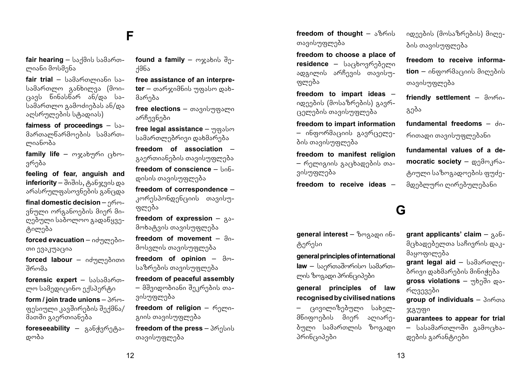#### **F**

**fair hearing –** საქმის სამართლიანი მოსმენა

**fair trial** – სამართლიანი სა $b$ ამართლო ვანხილვა (მოი- $(333b - 605b)$ სამართლო გამოძიებას ან/და აღსრულების სტადიას)

**fairness of proceedings – ba**მართალწარმოების სამართოიანობა

**family life** – ოჯახური ცხოვრება

**feeling of fear, anguish and inferiority** – შიშის, ტანჯვის და  $\alpha$ გრასრულფასოვნების განცდა

**final domestic decision –**  $n^{6}$ ვნული ორგანოების მიერ მიდებული საბოლოო გადაწყვეცილება

forced evacuation – იძულებითი ევაკუაცია

**forced labour** – ndmengoon  $36<sub>ma</sub>$ 

**forensic expert –** სასამართლო სამედიცინო ექსპერტი

**form / join trade unions - 360** $q_3$ ესიული კავშირების შექმნა/ მათში გაერთიანება

toreseeability – გან<u>ჭვრე</u>ტადობა

**found a family** – mxsbob  $\partial_{\Omega}$ - $486<sub>2</sub>$ 

**free assistance of an interpreter** – თარჯიმნის უფასო დახმარება

free elections – თავისუფალი არჩევნები

free legal assistance - morsum სამართლებრივი დახმარება

**freedom of association** – გაერთიანების თავისუფლება  $f$ reedom of conscience  $\frac{1}{2}$ დისის თავისუფლება

**freedom of correspondence** – კორესპონდენციის თავისუფლება

**freedom of expression –**  $a\delta$ მოხატვის თავისუფლება

**freedom of movement**  $-$  $\partial_{0}$ მოსვლის თავისუფლება

**freedom of opinion –**  $\partial_{\Omega}$ საზრების თავისუფლება

**freedom of peaceful assembly** 

– მშვიდობიანი შეკრების თავისუფლება

freedom of religion – mgmoanob თავისუფლება

**freedom of the press** - 3mgbob თავისუფლება

freedom of thought  $-$  3860b თავისუფლება

**freedom to choose a place of residence –** საცხოვრებელი amagamal ambasal ang ფლება

**freedom to impart ideas** – იდეების (მოსაზრების) გავრ- $\alpha$ კელების თავისუფლება

**freedom to impart information**  – ინფორმაციის გავრცელების თავისუფლება

**freedom to manifest religion**   $-$  რელიგიის გაცხადების თავისუფლება

**freedom to receive ideas** –

**general interest** - begased ob-

**general principles of international law** – საერთაშორისო სამართmoს ზოგადი პრინციპები **general principles of law recognised by civilised nations**  – ცივილიზებული სახელმნიფოების მიერ აღიარებული სამართლის ზოგადი

ოგერესი

პრინციპები

იდეების (მოსაზრების) მიღეპის თავისუფლება

**freedom to receive information** – ინფორმაციის მიღების თავისუფლება

**friendly settlement –**  $\partial \omega$ გება

**fundamental freedoms**  $-$  $d_0$ რითადი თავისუფლებანი

**fundamental values of a democratic society** – დემოკრაციული საზოგადოების ფუძემდებლური ღირებულებანი

#### **G**

**grant applicants' claim – 336-** $\partial$ ცხადებელთა საჩივრის დაკმაყოფილება grant legal aid - bsdsmomnბრივი დახმარების მინიჭება **gross violations –** <sub>Μ</sub>bη do <sub>co</sub>რღვევები **group of individuals - 306003** ჯგუფი

**guarantees to appear for trial**  – სასამართლოში გამოცხადების გარანტიები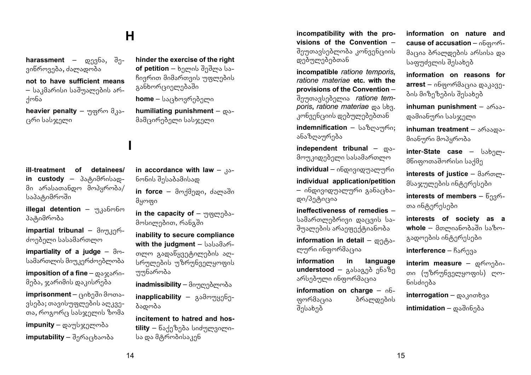### **H**

**I**

**harassment** – monabs,  $\partial \theta$ ვინროვება, ძალადობა

#### **not to have sufficient means**   $-$  საკმარისი საშუალების არ- $\overline{A}$ ონა

**heavier penalty** – maxim a<sub>3</sub> ცრი სასჯელი

**ill**-**treatment of detainees/ in custody –** პატიმრისადმი არასათანდო მოპყრობა/ საპატიმროში

**illegal detention** – <sub>ηλ</sub>οδωδω პატიმრობა

**impartial tribunal** – doman<sup>6</sup>ძოებელი სასამართლო

**impartiality of a judge –**  $\partial \omega$ სამართლის მიუკერძოებლობა

**imposition of a fine** –  $\cos x \sin^n$ მება, ჯარიმის დაკისრება

**imprisonment** — ციხეში მოთავსება; თავისუფლების აღკვეთა, როგორც სასჯელის ზომა

**impunity** – დაუსჯელობა **imputability** – შერაცხაობა **hinder the exercise of the right of petition** – ხელის შეშლა სა- $\beta$ ივრით მიმართვის უფლების asobmm/sonmndsdo

**home** – საცხოვრებელი

**humiliating punishment**  $-\infty$ მამცირებელი სასჯელი

in accordance with law  $_{30-}$ ნონის შესაბამისად

**in force** – მოქმედი, ძალაში მყოფი

in the capacity of – mogmadoმოსილებით, რანგში

**inability to secure compliance with the judament - bsbsds6**თლო გადაწყვეტილების აღსრულების უზრუნველყოფის mmbammda

inadmissibility – მიუღებლობა

**inapplicability** – gsdmmgg6gბადობა

**incitement to hatred and hos**tility – წაქეზება სიძულვილისა და მტრობისაკენ

**incompatibility with the provisions of the Convention** – შეუთავსებლობა კონვენციის დებულებებთან

**incompatible** *ratione temporis***,**  *ratione materiae* **etc. with the provisions of the Convention** – შეუთავსებელია *ratione temporis*, *ratione materiae*  $\omega_0$  *b<sub>3</sub>*. კონვენციის დებულებებთან

**indemnification** – საზოაური; ანაზოაურება

 $i$ ndependent tribunal –  $\infty$ მოუკიდებელი სასამართლო

**individual** – ინდივიდუალური

**individual application/petition**  – ინდივიდუალური განაცხადი/პეტიცია

**ineffectiveness of remedies** – სამართლებრივი დაცვის საშუალების არაეფექტიანობა

**information in detail –**  $\varphi_1 \partial_1 \varphi_2$ ლური ინფორმაცია

**information in language**  understood – asbaggeb g6s8g არსებული ინფორმაცია

**information on charge**  $-$  $00$ ფორმაცია — ბრალდების შესახებ

**information on nature and cause of accusation –**  $n6$  $q$  $m$ **<sup>6</sup>**მაცია ბრალდების არსისა და bsagudamob dabsbað

**information on reasons for arrest** – ინფორმაცია დაკავების მიზეზების შესახებ

**inhuman punishment** –  $\delta$ 633დამიანური სასჯელი

**inhuman treatment** – araabaმიანური მოპყრობა

**inter-State case** – bsbgmმწიფოთაშორისი საქმე

**interests of justice – damm**მსაჯულების ინტერესები

**interests of members –**  $6.36$ თა ინტერესები

**interests of society as a whole** – მთლიანობაში საზოგადოების ინტერესები

**interference – ჩარევა** 

interim measure – დროებითი (უზრუნველყოფის) ღონისძიება

**interrogation** – **composition intimidation** – დაშინება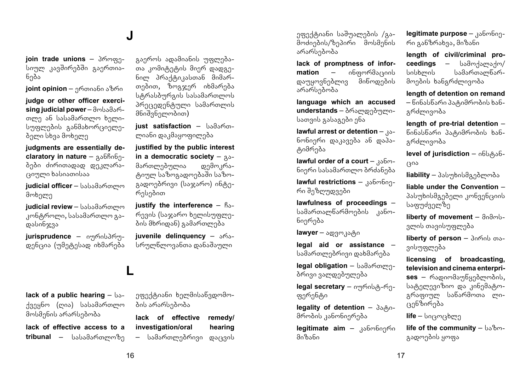#### **J**

**join trade unions - 36mmg**სიულ კავშირებში გაერთიანება

**joint opinion** – ერთიანი აზრი

**judge or other officer exerci** $sing$  judicial power - მოსამარmma sh bsbsdsmomm bamoსუფლების განმახორციელეპელი სხვა მოხელე

**judgments are essentially declaratory in nature** -  $a\delta b\delta$ ბები ძირითადად დეკლარაrsommo baboamobaa

**judicial officer** – სასამართლო მოხელე

**judicial review** – სასამართლო კონტროლი, სასამართლო გადასინჯვა

**jurisprudence –** o๚ที่คงให้ที่ დენცია (უმეტესად იხმარება

გაეროს ადამიანის უფლებათა კომიტეტის მიერ დადგე- $60<sub>m</sub>$  36 $\frac{1}{6}$ 0.3 $\frac{1}{3}$ 0.3 $\frac{1}{3}$ 0.36  $\frac{1}{3}$ 0.36  $\frac{1}{3}$ თებით, ზოგჯერ იხმარება  $b_0$ გრასბურგის სასამართლოს პრეცედენტული სამართლის მნიშვნელობით)

**just satisfaction –** სამართლიანი დაკმაყოფილება

**justified by the public interest in a democratic society –**  $30$ მართლებულია დემოკრატიულ საზოგადოებაში საზო $a_3$ ადოებრივი (საჯარო) ინტერესებით

**justify the interference**  $-$  $\beta_{\delta-}$ რევის (საჯარო ხელისუფლების მხრიდან) გამართლება

**juvenile delinquency –**  $\delta$ **63**სრულწლოვანთა დანაშაული

#### **L**

**lack of a public hearing – ba**ქვეყნო (ღია) სასამართლო მოსმენის არარსებობა

**lack of effective access to a**  tribunal – სასამართლოზე ეფექტიანი ხელმისანვდომოპის არარსებობა

**lack of effective remedy/ investigation/oral hearing**  – სამართლებრივი დაცვის

ეფექტიანი საშუალების /გა- $\delta$ ოძიების/ზეპირი მოსმენის არარსებობა

**lack of promptness of infor**m<mark>ation –</mark> ინფორმაციის<br>დაუყოვნებლივ მინოდების დაუყოვნებლივ არარსებობა

**language which an accused**  understands – ბრალდებული $b$ ათვის გასაგები ენა

**lawful arrest or detention - Ra**ნონიერი დაკავება ან დაპატიმრება

lawful order of a court - kaboნიერი სასამართლო ბრძანება

**lawful restrictions – 306mbon**რი შეზღუდვები

**lawfulness of proceedings** – სამართალწარმოების კანონიერება

**lawyer** – ადვოკატი

**legal aid or assistance** – სამართლებრივი დახმარება

**legal obligation** - სამართლებრივი ვალდებულება

**legal secretary** – ommobi8-mgფერენტი

**legality of detention - 35/80**მრობის კანონიერება

**legitimate aim –** კანონიერი მიზანი

**legitimate purpose** – 356mbogრი განზრახვა, მიზანი

**length of civil/criminal proceedings –** სამოქალაქო/ სისხლის სამართალწარმოების ხანგრძლივობა

**length of detention on remand**   $-$  წინასწარი პატიმრობის ხანგრძლივობა

**length of pre-trial detention** – წინასწარი პატიმრობის ხანamdamosmda

**level of jurisdiction** – οδυ<sub>ι</sub>θοδ- $\cos$ 

**liability** - პასუხისმგებლობა

**liable under the Convention** – Joaspanselome ambashidrahi საფუძველზე

**liberty of movement** - andmlsვლის თავისუფლება

**liberty of person** - 3060b 003ვისუფლება

**licensing of broadcasting, television and cinema enterpri-**

ses – რადიომაუწყებლობის, სატელევიზიო და კინემატოგრაფიულ სანარმოთა ლიცენზირება

 $\textsf{life} - \textsf{box}(\textsf{sim})$ 

**life of the community – bsbm**გადოების ყოფა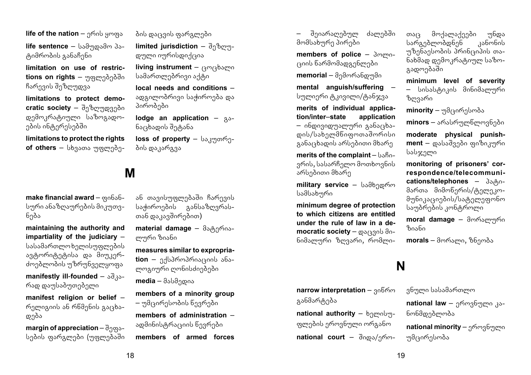**life of the nation** – group ymax **life sentence –** სამუდამო პატიმრობის განაჩენი

**limitation on use of restric**tions on rights – უფლებებში ჩარევის შეზღუდვა

**limitations to protect democratic society** – შეზოუდვები დემოკრატიული საზოგადოების ინტერესებში

**limitations to protect the rights of others** – სხვათა უფლებე-

**make financial award -**  $\varphi_0$  **656**სური ანაზღაურების მიკუთვნება

**maintaining the authority and impartiality of the judiciary** – სასამართლოხელისუფლების ავტორიტეტისა და მიუკერძოებლობის უზრუნველყოფა

**manifestly ill-founded –**  $\delta \delta$ **<sub>3</sub>.** რად დაუსაბუთებელი

**manifest religion or belief** –  $m$ დება

**margin of appreciation** –  $\partial_{\Omega} \varphi_{\delta}$ სების ფარგლები (უფლებაში ბის დაცვის ფარგლები

**limited jurisdiction –**  $\partial_{\Omega}b_{\Omega}m_{\Omega}$ დული იურისდიქცია

**living instrument** – composition სამართლებრივი აქტი

**local needs and conditions** – ადგილობრივი საჭიროება და პირობები

**lodge an application –**  $33$ ნაცხადის შეტანა

**loss of property** – baggromgბის დაკარგვა

#### **M**

ან თავისუფლებაში ჩარევის საჭიროების განსაზღვრასთან დაკავშირებით)

**material damage - θαρληπολει** ლური ზიანი

**measures similar to expropria-** $\mathbf{tion}$  – ექსპროპრიაციის ანაmmanmmo mmbobdonono

**media** – მასმედია

**members of a minority group**  – უმცირესობის წევრები

**members of administration** – ადმინისტრაციის წევრები

**members of armed forces** 

შეიარაღებულ ძალებში მომსახურე პირები

**members of police –**  $\delta$ **mmo**ციის წარმომადგენლები

**memorial** – მემორანდუმი

**mental anguish/suffering** – სულიერი ტკივილი/ტანჯვა

**merits of individual application/inter**–**state application**  – ინდივიდუალური განაცხადის/სახელმნიფოთაშორისი  $a_4$ ანა $a_5$ ბის გრსუბითი მხარე

**merits of the complaint** –  $bsBo$ ვრის, სასარჩელო მოთხოვნის არსებითი მხარე

**military service –** სამხედრო სამსახური

**minimum degree of protection to which citizens are entitled under the rule of law in a democratic society** – <sub>@δ(ξ</sub>ვის მინიმალური ზოვარი, რომლი-

თაც მოქალაქეები უნდა<br>სარგებლობდნენ კანონის sarandmenden b უზენაესობის პრინციპის თანახმად დემოკრატიულ საზოგადოებაში

**minimum level of severity**  – სისასტიკის მინიმალური ზოვარი

**minority** – უმცირესობა

minors – არასრულნლოვნები

**moderate physical punish**ment – დასაშვები ფიზიკური სასჯელი

**monitoring of prisoners' correspondence/telecommuni**cations/telephones –  $3\delta_1\delta_0$ მართა მიმოწერის/ტელეკომუნიკაციების/სატელეფონო საუბრების კონტროლი

**moral damage** – მორალური  $b^{\alpha}$ 

**morals** – მორალი, ზნეობა

#### **N**

**narrow interpretation – 3066m** განმარტება

national authority – bnmobyფლების ეროვნული ორგანო national court – domos/gmვნული სასამართლო

**national law** – ეროვნული კანონმდებლობა

**national minority** – ეროვნული უმცირესობა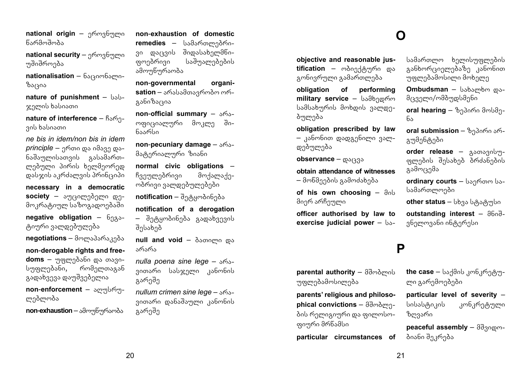**national origin** – grownabygmo წარმოშობა

**national security** – ეროვნული უშიშროება

**nationalisation** – δაციონალიზაცია

**nature of punishment - bab**ჯელის ხასიათი

**nature of interference - Bare**ვის ხასიათი

*ne bis in idem/non bis in idem principle –* ერთი და იმავე დანაშაულისათვის გასამართლებული პირის ხელმეორედ დასჯის აკრძალვის პრინციპი

**necessary in a democratic society** – აუცილებელი დემოკრატიულ საზოგადოებაში

 **obligation**  $-6$ **<sub>93</sub>-**<sub>ტ</sub>იური ვალდებულება

**negotiations** – მოლაპარაკება

**non**-**derogable rights and freedoms** – უფლებანი და თავისუფლებანი, რომელთაგან გადახვევა დაუშვებელია

**non-enforcement** – smyglmyოებლობა

**non-exhaustion – ออกๆๆชิๆที่จักจ้อ** 

**non**-**exhaustion of domestic**  remedies – სამართლებრივი დაცვის შიდასახელმწი-.<br>ფოებრივი საშუალებების ამოუწურაობა

**non**-**governmental organisation** – არასამთავრობო ორგანიზაცია

**non-official summary –**  $\delta$ **63**ოფიციალური მოკლე შინაარსი

**non-pecuniary damage -**  $\delta$ **63**მატერიალური ზიანი

**normal civic obligations** – ჩვეულებრივი მოქალაქეობრივი ვალდებულებები

**notification** – შეტყობინება

**notification of a derogation**  – შეტყობინება გადახვევის შესახებ

**null and void – δεσσος του** არარა

*nulla poena sine lege – shs*ვითარი სასჯელი კანონის გარეშე

*nullum crimen sine lege – sfos*ვითარი დანაშაული კანონის გარეშე

#### **O**

**objective and reasonable jus**tification – ობიექტური და გონივრული გამართლება

**obligation of performing military service –** სამხედრო სამსახურის მოხდის ვალდეპულება

**obligation prescribed by law**   $-$  კანონით დადგენილი ვალდებულება

**observance –**  $\omega$ **8/338** 

**obtain attendance of witnesses**   $-$  მოწმეების გამოძახება

**of his own choosing – and** მიერ არჩეული

**officer authorised by law to exercise judicial power – bs-**

#### **P**

barental authority - ddmdmob უფლებამოსილება

**parents' religious and philosophical convictions – domominal** ბის რელიგიური და ფილოსოფიური მრწამსი

**particular circumstances of** 

სამართლო ხელისუფლების განხორციელებაზე კანონით უფლებამოსილი მოხელე

**Ombudsman** - babambm maმცველი/ომბუდსმენი

**oral hearing** – ზეპირი მოსმენა

**oral submission** – ზეპირი არგუმენტები

**order release** – gsonsgobໆფლების შესახებ ბრძანების გამოცემა

**ordinary courts - bagmom ba**სამართლოები

**other status** – სხვა სტატუსი

**outstanding interest - a6.3**ვნელოვანი ინტერესი

the case – საქმის კონკრეტუ-

**particular level of severity** – სისასტიკის კონკრეტული

**peaceful assembly - ddgocom-**

ლი გარემოებები

ზოვარი

ბიანი შეკრება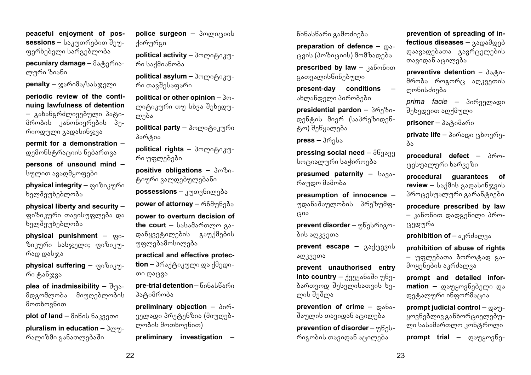**peaceful enjoyment of possessions** – საკუთრებით შეუ $g_1$ რხებელი სარგებლობა

**pecuniary damage** - dominionლური ზიანი

**penalty –** ჯარიმა/სასჯელი

**periodic review of the continuing lawfulness of detention**  – გახანგრძლივებული პატიმრობის კანონიერების პერიოდული გადასინჯვა

**permit for a demonstration** – დემონსტრაციის ნებართვა

**persons of unsound mind** – სულით ავადმყოფები

**physical integrity** – ფიზიკური ხელშეუხებლობა

**physical liberty and security** – ფიზიკური თავისუფლება და ხელშეუხებლობა

**physical punishment –**  $\infty$ **0**ზიკური სასჯელი; ფიზიკურად დასჯა

**physical suffering – or**  $\alpha$ **<sup>0</sup>0.391**რი ტანჯვა

**plea of inadmissibility -**  $\partial y$ მდგომლობა მიუღებლობის მოთხოვნით

**plot of land** – θαδαλ δειχερισια

**pluralism in education - 3cm-n**რალიზმი განათლებაში

police surgeon - 3mmnr300b dommad

**political activity** – 3mmo<sub>(80,3</sub>mრი საქმიანობა

**political asylum** - 3mmoβ03mრი თავშესაფარი

**political or other opinion – 3m**ლიტიკური თუ სხვა შეხედულება

**political party** – პოლიტიკური პარტია

**political rights** – 3mmorgo.3mრი უფლებები

**positive obligations - 3m8n**ციური ვალდებულებანი

**possessions** – კუთვნილება

**power of attorney** – რწმუნება

**power to overturn decision of**  the court - babadamomm gaდანყვეტილების გაუქმების უფლებამოსილება

**practical and effective protection** – პრაქტიკული და ქმედითი დაცვა

**pre-trial detention** – წინასწარი პატიმრობა

**preliminary objection** –  $306$ ველადი პრეტენზია (მიუღებლობის მოთხოვნით)

**preliminary investigation** –

წინასწარი გამოძიება

**preparation of defence**  $-\infty$ ცვის (პოზიციის) მომზადება **prescribed by law - Respublican** 

გათვალისწინებული

**present**-**day conditions** – ახლანდელი პირობები

presidential pardon - 36gboდენტის მიერ (საპრეზიდენცალება

**press** – 3ท์าปง

**pressing social need -**  $\partial \mathcal{B}_{3}$ სოციალური საჭიროება

**presumed paternity – barsed** რაუდო მამობა

**presumption of innocence** – უდანაშაულობის პრეზუმფ- $(30)$ 

**prevent disorder** – უწესრიგობის აღკვეთა

**prevent escape** – gadcagob აღკვეთა

**prevent unauthorised entry into country** – danysbado mbn- $\delta$ ართვოდ შესვლისათვის ხელის შეშლა

**prevention of crime –**  $\cos 5$ შაულის თავიდან აცილება

**prevention of disorder** – Mb<sub>2</sub> რიგობის თავიდან აცილება

**prevention of spreading of infectious diseases – ვადამდებ** დაავადებათა გავრცელების თავიდან აცილება

**preventive detention** –  $3\delta_0\delta_0$ მრობა როგორ $($ კადკვეთის ლონისძიება

 $prime$  *facie* – პირველადი შეხედვით აღქმული

**prisoner** – პა<sub>ტ</sub>იმარი

private life - პირადი ცხოვრება

**procedural defect** – 36mცესუალური ხარვეზი

**procedural guarantees of**   $review - b$ აქმის გადასინჯვის პროცესუალური გარანტიები

**procedure prescribed by law**   $k$ ცედურა

**prohibition of** – აკრძალვა

**prohibition of abuse of rights**  – უფლებათა ბოროტად გამოყენების აკრძალვა

**prompt and detailed infor**mation – დაუყოვნებელი და დეტალური ინფორმაცია

**prompt judicial control –**  $\omega_2$ ყოვნებლივ განხორციელებული სასამართლო კონტროლი

**prompt trial** – **@**sუყოვნე-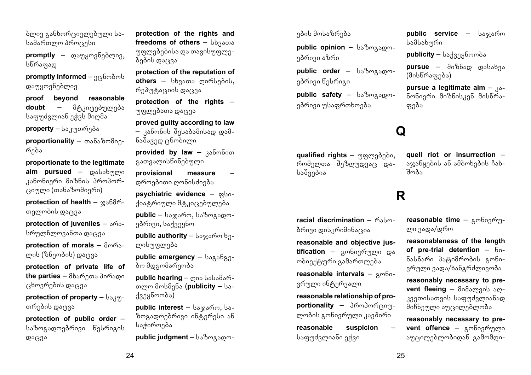ბლივ განხორციელებული სა $b$ ამართლო პროცესი

promptly – **comptly**, სწრაფად

**promptly informed** – ეცნობოს დაუყოვნებლივ

**proof beyond reasonable doubt** – მ<sub>(</sub>გკიცებულება საფუძვლიან ეჭვს მიღმა

**property** – საკუთრება

**proportionality** – თანაზომიერება

**proportionate to the legitimate** aim pursued – cosbsbigmo კანონიერი მიზნის პროპორ-(კიული (თანაზომიერი)

**protection of health –**  $x\cdot6\theta$ **m**თელობის დაცვა

**protection of juveniles –**  $\delta$ **63**სრულწლოვანთა დაცვა

**protection of morals – dmms**ლის (ზნეობის) დაცვა

**protection of private life of the parties** – მხარეთა პირადი ცხოვრების დაცვა

**protection of property – baggy**თრების დაცვა

**protection of public order** – საზოგადოებრივი წესრიგის დაცვა

**protection of the rights and**  freedoms of others – bb35005 უფლებებისა და თავისუფლებების დაცვა

**protection of the reputation of**  others – bb3sons comb3dob, რეპუტაციის დაცვა

**protection of the rights** – უფლებათა დაცვა

**proved guilty according to law**   $-$  კანონის შესაბამისად დამნაშავედ ცნობილი

**provided by law - 356mbnon** გათვალისწინებული

**provisional measure** – დროებითი ღონისძიება

**psychiatric evidence -**  $\alpha$ **bo**ქიატრიული მტკიცებულება

**public** – საჯარო, საზოგადოებრივი, საქვეყნო

**public authority** – საჯარო ხელისუფლება

**public emergency – bogoban**ბო მდგომარეობა

**public hearing –** ოია სასამართლო მოსმენა (publicity – სა $f_3g_4g_5g_6$ ოთბა)

**public interest** - baxamm, baზოგადოებრივი ინტერესი ან საჭიროება

**public judgment** – საზოგადო-

ების მოსაზრება

**public opinion** - bsbmgsomებრივი აზრი

**public order** – bsbmaspomებრივი წესრიგი

**public safety –** bsbmgscomებრივი უსაფრთხოება

## **Q**

ფება

aualified rights – mogmadado, .<br>რომელთა შეზღუდვაც დასაშვებია

**quell riot or insurrection** – აჯანყების ან ამბოხების ჩახ- $\overline{a}$ 

**public service –** საჯარო

**pursue a legitimate aim – Ro**ნონიერი მიზნისკენ მისწრა-

publicity – საქვეყნოობა **pursue** – მიზნად დასახვა

სამსახური

(მისწრაფება)

#### **R**

**racial discrimination** – msbmბრივი დისკრიმინაცია

**reasonable and objective jus**tification – გონივრული და ობიექტური გამართლება

**reasonable intervals –**  $\alpha$ **mbo**ვრული ინტერვალი

**reasonable relationship of proportionality** – პროპორციულობის გონივრული კავშირი

**reasonable suspicion** – საფუძვლიანი ე<u>ჭვ</u>ი

reasonable time - gmbogmლი ვადა/დრო

**reasonableness of the length of pre-trial detention -**  $60$ ნასწარი პატიმრობის გონივრული ვადა/ხანგრძლივობა

**reasonably necessary to pre**vent fleeing - მიმალვის აღკვეთისათვის საფუძვლიანად მიჩნეული აუცილებლობა

**reasonably necessary to prevent offence –** *gmbngfmgmn* აუცილებლობიდან გამომდი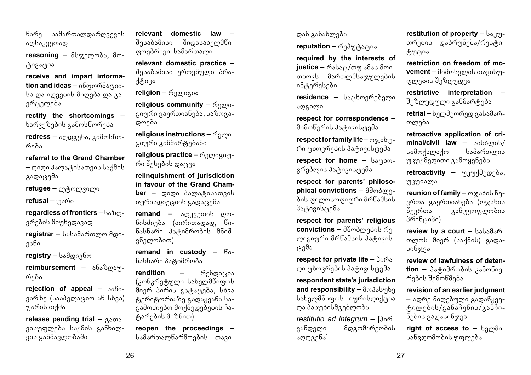ნარე სამართალდაროვევის აღსაკვეთად

reasoning – მსჯელობა, მოცივაცია

**receive and impart information and ideas** – ინფორმაციისა და იდეების მიღება და გავრცელება

**rectify the shortcomings** –  $b$ არვეზების გამოსწორება

redress – აღდგენა, გამოსწორება

**referral to the Grand Chamber** 

– დიდი პალატისათვის საქმის  $A$ ადაცემა

**refugee** – ლტოლვილი

**refusal** – უარი

**regardless of frontiers** -  $bs8m$ ვრების მიუხედავად

registrar – სასამართლო მდივანი

**registry** – სამდივნო

**reimbursement** – ანაზოაურება

**rejection of appeal –**  $bsBo$ ვარზე (სააპელაციო ან სხვა) უარის თქმა

release pending trial – Asonsვისუფლება საქმის განხილვის განმავლობაში

**relevant domestic law** – შიდასახელმწიgmadmaan bodomoomo

**relevant domestic practice** – შესაბამისი ეროვნული პრა- $100,35$ 

**religion** – mamazos

**religious community –**  $\epsilon_{\text{2}}$  $a$ იური გაერთიანება, საზოგადოება

**religious instructions – mgmo**გიური განმარტებანი

religious practice - mgmngomრი წესების დაცვა

**relinquishment of jurisdiction in favour of the Grand Cham-**

**ber** – დიდი პალატისათვის იურისდიქციის გადაცემა

remand – აღკვეთის ღონისძიება (ძირითადად, წინასწარი პატიმრობის მნიშვნელობით)

**remand in custody**  $-6$ **.** ნასწარი პატიმრობა

**rendition –** რენდიცია  $(n<sub>0</sub>, n<sub>0</sub>, n<sub>0</sub>)$  სახელმნიფოს angm domob gasacagas, bbas  $\beta$ gamagamaa  $\beta$ gadaygaba baგამოძიებო მოქმედებების ჩა-ชิงศาวอเปียดต่อ

**reopen the proceedings** – სამართალწარმოების თავიდან განახლება

**reputation** – რეპუტაცია

**required by the interests of justice** – რასაც/თუ ამას მოითხოვს მართლმსაჯულების ინტერესები

residence – საცხოვრებელი ადგილი

**respect for correspondence** – მიმოწერის პატივისცემა

**respect for family life**  $-\omega x \delta y$ რი ცხოვრების პატივისცემა

**respect for home - barsbon**ვრებლის პატივისცემა

**respect for parents' philosophical convictions –**  $\frac{\partial \mathcal{L}}{\partial \mathbf{w}}$  $\delta$ ის ფილოსოფიური მრწამსის პატივის $\epsilon$ ემა

**respect for parents' religious convictions** – მშობლების რეmozommo dmbsdbob dangogobrada

**respect for private life - 3065**დი ცხოვრების პატივისცემა

**respondent state's jurisdiction**  and responsibility - amasumba სახელმწიფოს იურისდიქცია და პასუხისმგებლობა

restitutio ad integrum - [3o6ვანდელი მდგომარეობის აღდგენა]

**restitution of property - bs am**თრების დაბრუნება/რესტიცუცია

**restriction on freedom of movement** – მიმოსვლის თავისუფლების შეზღუდვა

**restrictive interpretation** – შეზღუდული განმარტება

**retrial** – ხელმეორედ გასამართლება

**retroactive application of cri**minal/civil law – სისხლის*/*<br>სამოქალაქო — სამართლის სამოქალაქო უკუქმედითი გამოყენება

retroactivity – <sub>Mamadago,</sub> უკუძალა

**reunion of family** – mxsbob  $6<sub>0</sub>$ ვრთა გაერთიანება (ოჯახის<br>ნევრთა — განუყოფლობის განუყოფლობის პრინციპი)

review by a court - babadamთლოს მიერ (საქმის) გადასინჯვა

**review of lawfulness of deten**tion – პატიმრობის კანონიერების შემოწმება

**revision of an earlier judgment** 

– ადრე მიღებული გადაწყვეტილების/განაჩენის/განჩინების გადასინჯვა

**right of access to – bnmdn**საწვდომობის უფლება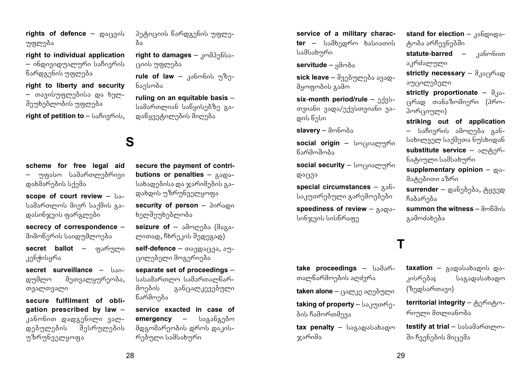**rights of defence –**  $\cos(330)$ უფლება

**right to individual application**  – ინდივიდუალური საჩივრის წარდგენის უფლება

**right to liberty and security**  – თავისუფლებისა და ხელშეუხებლობის უფლება

**right of petition to** – საჩივრის,

**scheme for free legal aid**  უფასო სამართლებრივი დახმარების სქემა

**scope of court review – bs**სამართლოს მიერ საქმის გადასინჯვის ფარგლები

**secrecy of correspondence** – მიმოწერის საიდუმლოება

secret ballot – ფარული კენჭისყრა

**secret surveillance – ban**დუმლო მეთვალყურეობა, თვალთვალი

**secure fulfilment of obligation prescribed by law** – კანონით დადგენილი ვალდებულების შესრულების უზრუნველყოფა

პეტიციის წარდგენის უფლე- $\lambda$ 

right to damages – kn<sup>3</sup>396bsrsoob უფლება

**rule of law** – 336mbob უზენაესობა

**ruling on an equitable basis** – სამართლიან საწყისებზე გადანყვეტილების მიღება

## **S**

**secure the payment of contributions or penalties –**  $3000 - 4000$ სახადებისა და ჯარიმების გადახდის უზრუნველყოფა

**security of person - domogon** ხელშეუხებლობა

seizure of – ამოღება (მაგალითად, ჩხრეკის შედეგად)

self-defence – თავდაცვა, აუცილებელი მოგერიება

**separate set of proceedings** – სასამართლო სამართალწარმოების განცალკევებული წარმოება

**service exacted in case of emergency** – **b**sαρδαρδω მდგომარეობის დროს დაკისრებული სამსახური

**service of a military character –** სამხედრო ხასიათის სამსახური

**servitude –** ყმობა

**sick leave** – შვებულება ავადმყოფობის გამო

 $six$ -month period/rule  $nAsb$ - $\sigma$ ვიანი ვადა/ექვსთვიანი ვადის წესი

 $slavor - \partial \phi \partial \phi$ 

social origin – სოციალური **Kymamaz** 

social security – bmr303mmmn დაცვა

**special circumstances –**  $30-6$ საკუთრებული გარემოებები

**speediness of review –**  $A\delta$ **00**სინჯვის სისწრაფე

### **T**

take proceedings -  $b$ sdsmთალწარმოების აოძვრა

taken alone – ცალკე აღებული

**taking of property** – საკუთრების ჩამორთმევა

tax penalty - bagagababagon ჯარიმა

**stand for election - 30600000**ტობა არჩევნებში

**statute-barred –** kabmboon აკრძალული

**strictly necessary** -  $\partial_{\mathcal{A}}\partial_{\mathcal{A}}\partial_{\mathcal{A}}\phi$ აუცილებელი

**strictly proportionate –**  $\partial_{\lambda} \delta$ ცრად თანაზომიერი (პროპორციული)

**striking out of application**  – საჩივრის ამოღება განსახილველ საქმეთა ნუსხიდან **substitute service –**  $\omega_{\text{eff}}$ **6**ნატიული სამსახური

supplementary opinion -  $\infty$ მატებითი აზრი

**surrender** – დანებება, ტყვედ ჩაბარება

 $summon$  the witness  $\partial m$ <sub>6</sub> $\partial$ <sub>0</sub> გამოძახება

taxation - gagababagob gaკისრება**;** საგადასახადო

 $($ ზედსართავი) territorial integrity - 800608m-

რიული მთლიანობა

**testify at trial** – სასამართლოში ჩვენების მიცემა